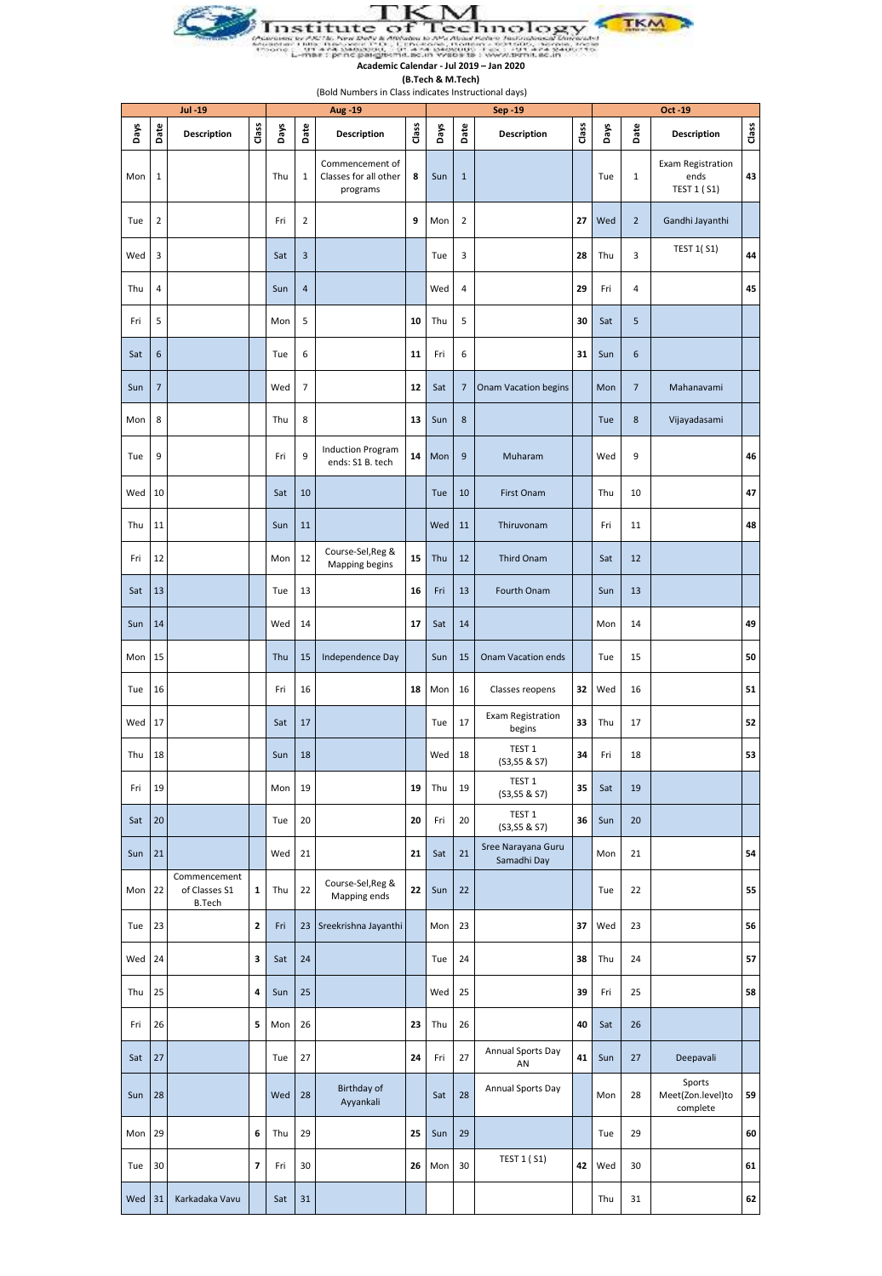

**(B.Tech & M.Tech)** (Bold Numbers in Class indicates Instructional days)

|      | <b>Jul-19</b>  |                                                |              |      |                | Aug -19                                              |       |      |                | Sep -19                            |       |      |                | Oct -19                                                |       |
|------|----------------|------------------------------------------------|--------------|------|----------------|------------------------------------------------------|-------|------|----------------|------------------------------------|-------|------|----------------|--------------------------------------------------------|-------|
| Days | Date           | <b>Description</b>                             | Class        | Days | Date           | <b>Description</b>                                   | Class | Days | Date           | <b>Description</b>                 | Class | Days | Date           | <b>Description</b>                                     | Class |
| Mon  | $\mathbf 1$    |                                                |              | Thu  | 1              | Commencement of<br>Classes for all other<br>programs | 8     | Sun  | $\mathbf{1}$   |                                    |       | Tue  | 1              | <b>Exam Registration</b><br>ends<br><b>TEST 1 (S1)</b> | 43    |
| Tue  | $\mathbf 2$    |                                                |              | Fri  | $\mathbf 2$    |                                                      | 9     | Mon  | $\overline{2}$ |                                    | 27    | Wed  | $\overline{2}$ | Gandhi Jayanthi                                        |       |
| Wed  | 3              |                                                |              | Sat  | $\mathsf 3$    |                                                      |       | Tue  | 3              |                                    | 28    | Thu  | 3              | <b>TEST 1(S1)</b>                                      | 44    |
| Thu  | 4              |                                                |              | Sun  | $\overline{4}$ |                                                      |       | Wed  | 4              |                                    | 29    | Fri  | 4              |                                                        | 45    |
| Fri  | 5              |                                                |              | Mon  | 5              |                                                      | 10    | Thu  | 5              |                                    | 30    | Sat  | 5              |                                                        |       |
| Sat  | 6              |                                                |              | Tue  | 6              |                                                      | 11    | Fri  | 6              |                                    | 31    | Sun  | 6              |                                                        |       |
| Sun  | $\overline{7}$ |                                                |              | Wed  | 7              |                                                      | 12    | Sat  | $\overline{7}$ | Onam Vacation begins               |       | Mon  | $\overline{7}$ | Mahanavami                                             |       |
| Mon  | 8              |                                                |              | Thu  | 8              |                                                      | 13    | Sun  | 8              |                                    |       | Tue  | 8              | Vijayadasami                                           |       |
| Tue  | 9              |                                                |              | Fri  | 9              | <b>Induction Program</b><br>ends: S1 B. tech         | 14    | Mon  | 9              | Muharam                            |       | Wed  | 9              |                                                        | 46    |
| Wed  | 10             |                                                |              | Sat  | 10             |                                                      |       | Tue  | 10             | First Onam                         |       | Thu  | 10             |                                                        | 47    |
| Thu  | 11             |                                                |              | Sun  | 11             |                                                      |       | Wed  | 11             | Thiruvonam                         |       | Fri  | 11             |                                                        | 48    |
| Fri  | 12             |                                                |              | Mon  | 12             | Course-Sel, Reg &<br>Mapping begins                  | 15    | Thu  | 12             | Third Onam                         |       | Sat  | 12             |                                                        |       |
| Sat  | 13             |                                                |              | Tue  | 13             |                                                      | 16    | Fri  | 13             | Fourth Onam                        |       | Sun  | 13             |                                                        |       |
| Sun  | 14             |                                                |              | Wed  | 14             |                                                      | 17    | Sat  | 14             |                                    |       | Mon  | 14             |                                                        | 49    |
| Mon  | 15             |                                                |              | Thu  | 15             | Independence Day                                     |       | Sun  | 15             | Onam Vacation ends                 |       | Tue  | 15             |                                                        | 50    |
| Tue  | 16             |                                                |              | Fri  | 16             |                                                      | 18    | Mon  | 16             | Classes reopens                    | 32    | Wed  | 16             |                                                        | 51    |
| Wed  | 17             |                                                |              | Sat  | 17             |                                                      |       | Tue  | 17             | <b>Exam Registration</b><br>begins | 33    | Thu  | 17             |                                                        | 52    |
| Thu  | 18             |                                                |              | Sun  | 18             |                                                      |       | Wed  | 18             | TEST <sub>1</sub><br>(S3, S5 & S7) | 34    | Fri  | 18             |                                                        | 53    |
| Fri  | 19             |                                                |              | Mon  | 19             |                                                      | 19    | Thu  | 19             | TEST 1<br>(S3, S5 & S7)            | 35    | Sat  | 19             |                                                        |       |
| Sat  | 20             |                                                |              | Tue  | 20             |                                                      | 20    | Fri  | 20             | TEST <sub>1</sub><br>(S3,S5 & S7)  | 36    | Sun  | 20             |                                                        |       |
| Sun  | 21             |                                                |              | Wed  | 21             |                                                      | 21    | Sat  | 21             | Sree Narayana Guru<br>Samadhi Day  |       | Mon  | 21             |                                                        | 54    |
| Mon  | 22             | Commencement<br>of Classes S1<br><b>B.Tech</b> | $\mathbf{1}$ | Thu  | 22             | Course-Sel, Reg &<br>Mapping ends                    | 22    | Sun  | 22             |                                    |       | Tue  | 22             |                                                        | 55    |
| Tue  | 23             |                                                | $\mathbf 2$  | Fri  |                | 23 Sreekrishna Jayanthi                              |       | Mon  | 23             |                                    | 37    | Wed  | 23             |                                                        | 56    |
| Wed  | 24             |                                                | 3            | Sat  | 24             |                                                      |       | Tue  | 24             |                                    | 38    | Thu  | 24             |                                                        | 57    |
| Thu  | 25             |                                                | 4            | Sun  | 25             |                                                      |       | Wed  | 25             |                                    | 39    | Fri  | 25             |                                                        | 58    |
| Fri  | 26             |                                                | 5            | Mon  | 26             |                                                      | 23    | Thu  | 26             |                                    | 40    | Sat  | 26             |                                                        |       |
| Sat  | 27             |                                                |              | Tue  | 27             |                                                      | 24    | Fri  | 27             | Annual Sports Day<br>AN            | 41    | Sun  | 27             | Deepavali                                              |       |
| Sun  | 28             |                                                |              | Wed  | 28             | Birthday of<br>Ayyankali                             |       | Sat  | 28             | Annual Sports Day                  |       | Mon  | 28             | Sports<br>Meet(Zon.level)to<br>complete                | 59    |
| Mon  | 29             |                                                | 6            | Thu  | 29             |                                                      | 25    | Sun  | 29             |                                    |       | Tue  | 29             |                                                        | 60    |
| Tue  | 30             |                                                | 7            | Fri  | 30             |                                                      | 26    | Mon  | 30             | <b>TEST 1 (S1)</b>                 | 42    | Wed  | 30             |                                                        | 61    |
| Wed  | 31             | Karkadaka Vavu                                 |              | Sat  | 31             |                                                      |       |      |                |                                    |       | Thu  | 31             |                                                        | 62    |